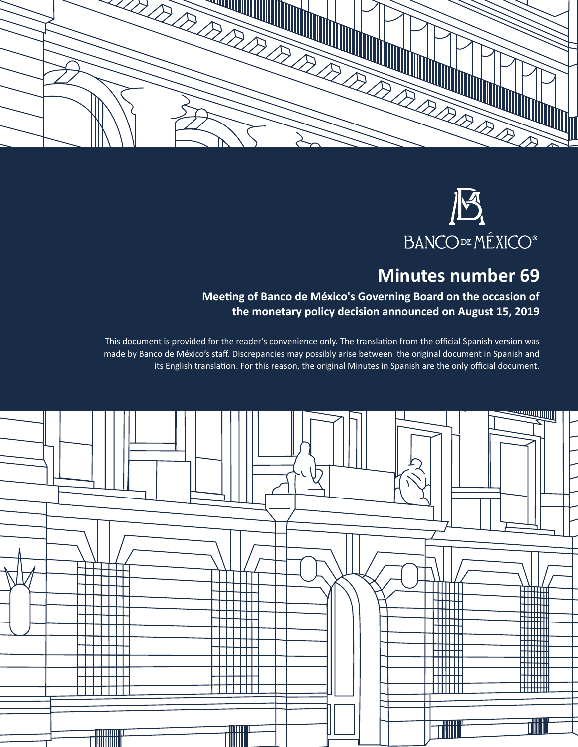



# **Minutes number 69**

# **Meeting of Banco de México's Governing Board on the occasion of the monetary policy decision announced on August 15, 2019**

This document is provided for the reader's convenience only. The translation from the official Spanish version was made by Banco de México's staff. Discrepancies may possibly arise between the original document in Spanish and its English translation. For this reason, the original Minutes in Spanish are the only official document.

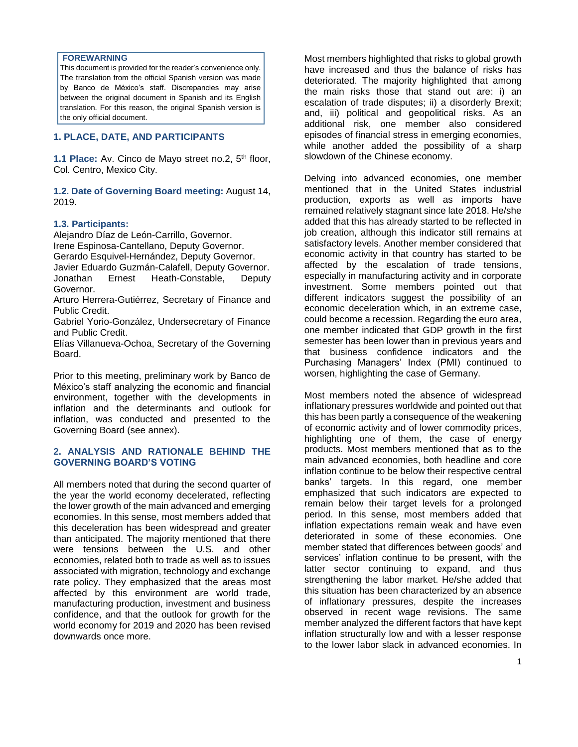#### **FOREWARNING**

This document is provided for the reader's convenience only. The translation from the official Spanish version was made by Banco de México's staff. Discrepancies may arise between the original document in Spanish and its English translation. For this reason, the original Spanish version is the only official document.

# **1. PLACE, DATE, AND PARTICIPANTS**

**1.1 Place:** Av. Cinco de Mayo street no.2, 5<sup>th</sup> floor, Col. Centro, Mexico City.

**1.2. Date of Governing Board meeting:** August 14, 2019.

## **1.3. Participants:**

Alejandro Díaz de León-Carrillo, Governor. Irene Espinosa-Cantellano, Deputy Governor. Gerardo Esquivel-Hernández, Deputy Governor. Javier Eduardo Guzmán-Calafell, Deputy Governor. Jonathan Ernest Heath-Constable, Deputy Governor.

Arturo Herrera-Gutiérrez, Secretary of Finance and Public Credit.

Gabriel Yorio-González, Undersecretary of Finance and Public Credit.

Elías Villanueva-Ochoa, Secretary of the Governing Board.

Prior to this meeting, preliminary work by Banco de México's staff analyzing the economic and financial environment, together with the developments in inflation and the determinants and outlook for inflation, was conducted and presented to the Governing Board (see annex).

# **2. ANALYSIS AND RATIONALE BEHIND THE GOVERNING BOARD'S VOTING**

All members noted that during the second quarter of the year the world economy decelerated, reflecting the lower growth of the main advanced and emerging economies. In this sense, most members added that this deceleration has been widespread and greater than anticipated. The majority mentioned that there were tensions between the U.S. and other economies, related both to trade as well as to issues associated with migration, technology and exchange rate policy. They emphasized that the areas most affected by this environment are world trade, manufacturing production, investment and business confidence, and that the outlook for growth for the world economy for 2019 and 2020 has been revised downwards once more.

Most members highlighted that risks to global growth have increased and thus the balance of risks has deteriorated. The majority highlighted that among the main risks those that stand out are: i) an escalation of trade disputes; ii) a disorderly Brexit; and, iii) political and geopolitical risks. As an additional risk, one member also considered episodes of financial stress in emerging economies, while another added the possibility of a sharp slowdown of the Chinese economy.

Delving into advanced economies, one member mentioned that in the United States industrial production, exports as well as imports have remained relatively stagnant since late 2018. He/she added that this has already started to be reflected in job creation, although this indicator still remains at satisfactory levels. Another member considered that economic activity in that country has started to be affected by the escalation of trade tensions, especially in manufacturing activity and in corporate investment. Some members pointed out that different indicators suggest the possibility of an economic deceleration which, in an extreme case, could become a recession. Regarding the euro area, one member indicated that GDP growth in the first semester has been lower than in previous years and that business confidence indicators and the Purchasing Managers' Index (PMI) continued to worsen, highlighting the case of Germany.

Most members noted the absence of widespread inflationary pressures worldwide and pointed out that this has been partly a consequence of the weakening of economic activity and of lower commodity prices, highlighting one of them, the case of energy products. Most members mentioned that as to the main advanced economies, both headline and core inflation continue to be below their respective central banks' targets. In this regard, one member emphasized that such indicators are expected to remain below their target levels for a prolonged period. In this sense, most members added that inflation expectations remain weak and have even deteriorated in some of these economies. One member stated that differences between goods' and services' inflation continue to be present, with the latter sector continuing to expand, and thus strengthening the labor market. He/she added that this situation has been characterized by an absence of inflationary pressures, despite the increases observed in recent wage revisions. The same member analyzed the different factors that have kept inflation structurally low and with a lesser response to the lower labor slack in advanced economies. In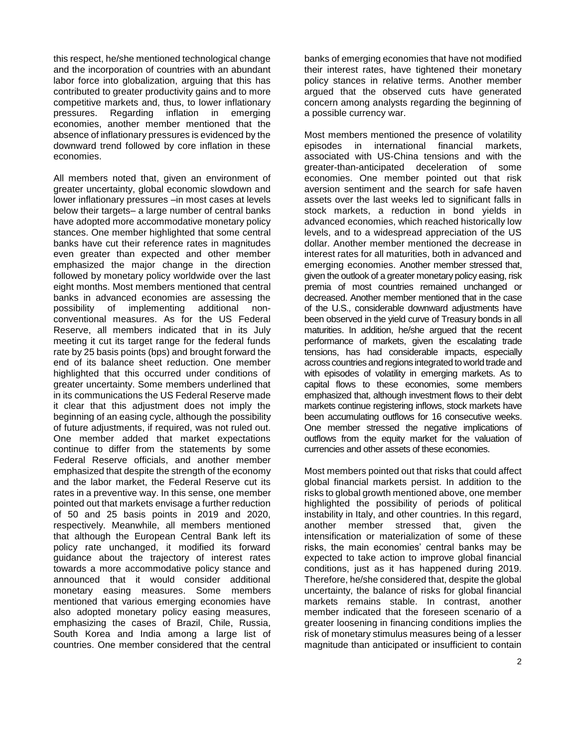this respect, he/she mentioned technological change and the incorporation of countries with an abundant labor force into globalization, arguing that this has contributed to greater productivity gains and to more competitive markets and, thus, to lower inflationary pressures. Regarding inflation in emerging economies, another member mentioned that the absence of inflationary pressures is evidenced by the downward trend followed by core inflation in these economies.

All members noted that, given an environment of greater uncertainty, global economic slowdown and lower inflationary pressures –in most cases at levels below their targets– a large number of central banks have adopted more accommodative monetary policy stances. One member highlighted that some central banks have cut their reference rates in magnitudes even greater than expected and other member emphasized the major change in the direction followed by monetary policy worldwide over the last eight months. Most members mentioned that central banks in advanced economies are assessing the possibility of implementing additional nonconventional measures. As for the US Federal Reserve, all members indicated that in its July meeting it cut its target range for the federal funds rate by 25 basis points (bps) and brought forward the end of its balance sheet reduction. One member highlighted that this occurred under conditions of greater uncertainty. Some members underlined that in its communications the US Federal Reserve made it clear that this adjustment does not imply the beginning of an easing cycle, although the possibility of future adjustments, if required, was not ruled out. One member added that market expectations continue to differ from the statements by some Federal Reserve officials, and another member emphasized that despite the strength of the economy and the labor market, the Federal Reserve cut its rates in a preventive way. In this sense, one member pointed out that markets envisage a further reduction of 50 and 25 basis points in 2019 and 2020, respectively. Meanwhile, all members mentioned that although the European Central Bank left its policy rate unchanged, it modified its forward guidance about the trajectory of interest rates towards a more accommodative policy stance and announced that it would consider additional monetary easing measures. Some members mentioned that various emerging economies have also adopted monetary policy easing measures, emphasizing the cases of Brazil, Chile, Russia, South Korea and India among a large list of countries. One member considered that the central

banks of emerging economies that have not modified their interest rates, have tightened their monetary policy stances in relative terms. Another member argued that the observed cuts have generated concern among analysts regarding the beginning of a possible currency war.

Most members mentioned the presence of volatility episodes in international financial markets, associated with US-China tensions and with the greater-than-anticipated deceleration of some economies. One member pointed out that risk aversion sentiment and the search for safe haven assets over the last weeks led to significant falls in stock markets, a reduction in bond yields in advanced economies, which reached historically low levels, and to a widespread appreciation of the US dollar. Another member mentioned the decrease in interest rates for all maturities, both in advanced and emerging economies. Another member stressed that, given the outlook of a greater monetary policy easing, risk premia of most countries remained unchanged or decreased. Another member mentioned that in the case of the U.S., considerable downward adjustments have been observed in the yield curve of Treasury bonds in all maturities. In addition, he/she argued that the recent performance of markets, given the escalating trade tensions, has had considerable impacts, especially across countries and regions integrated to world trade and with episodes of volatility in emerging markets. As to capital flows to these economies, some members emphasized that, although investment flows to their debt markets continue registering inflows, stock markets have been accumulating outflows for 16 consecutive weeks. One member stressed the negative implications of outflows from the equity market for the valuation of currencies and other assets of these economies.

Most members pointed out that risks that could affect global financial markets persist. In addition to the risks to global growth mentioned above, one member highlighted the possibility of periods of political instability in Italy, and other countries. In this regard, another member stressed that, given the intensification or materialization of some of these risks, the main economies' central banks may be expected to take action to improve global financial conditions, just as it has happened during 2019. Therefore, he/she considered that, despite the global uncertainty, the balance of risks for global financial markets remains stable. In contrast, another member indicated that the foreseen scenario of a greater loosening in financing conditions implies the risk of monetary stimulus measures being of a lesser magnitude than anticipated or insufficient to contain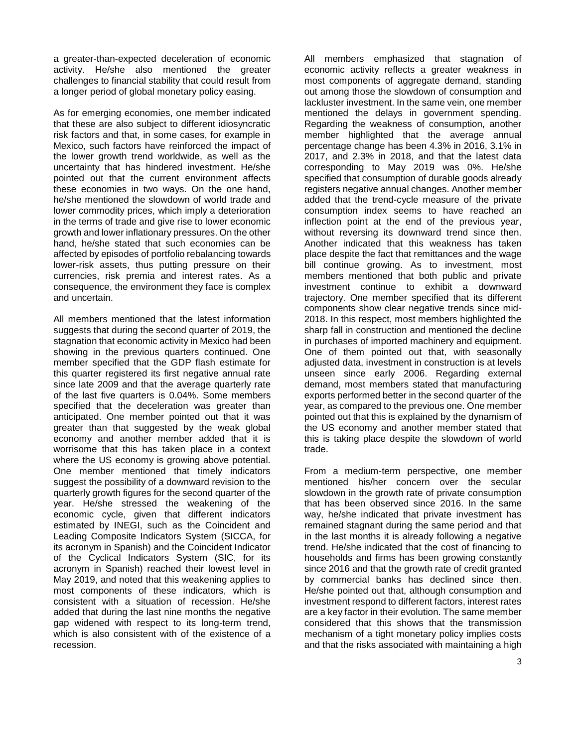a greater-than-expected deceleration of economic activity. He/she also mentioned the greater challenges to financial stability that could result from a longer period of global monetary policy easing.

As for emerging economies, one member indicated that these are also subject to different idiosyncratic risk factors and that, in some cases, for example in Mexico, such factors have reinforced the impact of the lower growth trend worldwide, as well as the uncertainty that has hindered investment. He/she pointed out that the current environment affects these economies in two ways. On the one hand, he/she mentioned the slowdown of world trade and lower commodity prices, which imply a deterioration in the terms of trade and give rise to lower economic growth and lower inflationary pressures. On the other hand, he/she stated that such economies can be affected by episodes of portfolio rebalancing towards lower-risk assets, thus putting pressure on their currencies, risk premia and interest rates. As a consequence, the environment they face is complex and uncertain.

All members mentioned that the latest information suggests that during the second quarter of 2019, the stagnation that economic activity in Mexico had been showing in the previous quarters continued. One member specified that the GDP flash estimate for this quarter registered its first negative annual rate since late 2009 and that the average quarterly rate of the last five quarters is 0.04%. Some members specified that the deceleration was greater than anticipated. One member pointed out that it was greater than that suggested by the weak global economy and another member added that it is worrisome that this has taken place in a context where the US economy is growing above potential. One member mentioned that timely indicators suggest the possibility of a downward revision to the quarterly growth figures for the second quarter of the year. He/she stressed the weakening of the economic cycle, given that different indicators estimated by INEGI, such as the Coincident and Leading Composite Indicators System (SICCA, for its acronym in Spanish) and the Coincident Indicator of the Cyclical Indicators System (SIC, for its acronym in Spanish) reached their lowest level in May 2019, and noted that this weakening applies to most components of these indicators, which is consistent with a situation of recession. He/she added that during the last nine months the negative gap widened with respect to its long-term trend, which is also consistent with of the existence of a recession.

All members emphasized that stagnation of economic activity reflects a greater weakness in most components of aggregate demand, standing out among those the slowdown of consumption and lackluster investment. In the same vein, one member mentioned the delays in government spending. Regarding the weakness of consumption, another member highlighted that the average annual percentage change has been 4.3% in 2016, 3.1% in 2017, and 2.3% in 2018, and that the latest data corresponding to May 2019 was 0%. He/she specified that consumption of durable goods already registers negative annual changes. Another member added that the trend-cycle measure of the private consumption index seems to have reached an inflection point at the end of the previous year, without reversing its downward trend since then. Another indicated that this weakness has taken place despite the fact that remittances and the wage bill continue growing. As to investment, most members mentioned that both public and private investment continue to exhibit a downward trajectory. One member specified that its different components show clear negative trends since mid-2018. In this respect, most members highlighted the sharp fall in construction and mentioned the decline in purchases of imported machinery and equipment. One of them pointed out that, with seasonally adjusted data, investment in construction is at levels unseen since early 2006. Regarding external demand, most members stated that manufacturing exports performed better in the second quarter of the year, as compared to the previous one. One member pointed out that this is explained by the dynamism of the US economy and another member stated that this is taking place despite the slowdown of world trade.

From a medium-term perspective, one member mentioned his/her concern over the secular slowdown in the growth rate of private consumption that has been observed since 2016. In the same way, he/she indicated that private investment has remained stagnant during the same period and that in the last months it is already following a negative trend. He/she indicated that the cost of financing to households and firms has been growing constantly since 2016 and that the growth rate of credit granted by commercial banks has declined since then. He/she pointed out that, although consumption and investment respond to different factors, interest rates are a key factor in their evolution. The same member considered that this shows that the transmission mechanism of a tight monetary policy implies costs and that the risks associated with maintaining a high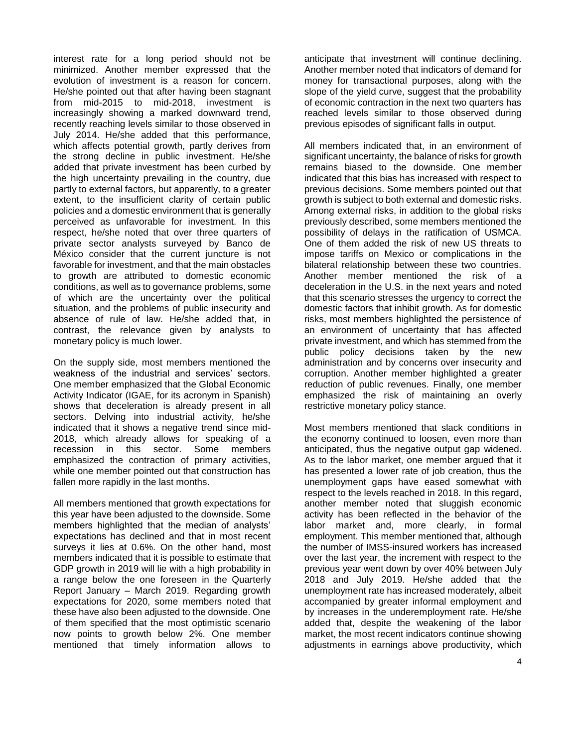interest rate for a long period should not be minimized. Another member expressed that the evolution of investment is a reason for concern. He/she pointed out that after having been stagnant from mid-2015 to mid-2018, investment is increasingly showing a marked downward trend, recently reaching levels similar to those observed in July 2014. He/she added that this performance, which affects potential growth, partly derives from the strong decline in public investment. He/she added that private investment has been curbed by the high uncertainty prevailing in the country, due partly to external factors, but apparently, to a greater extent, to the insufficient clarity of certain public policies and a domestic environment that is generally perceived as unfavorable for investment. In this respect, he/she noted that over three quarters of private sector analysts surveyed by Banco de México consider that the current juncture is not favorable for investment, and that the main obstacles to growth are attributed to domestic economic conditions, as well as to governance problems, some of which are the uncertainty over the political situation, and the problems of public insecurity and absence of rule of law. He/she added that, in contrast, the relevance given by analysts to monetary policy is much lower.

On the supply side, most members mentioned the weakness of the industrial and services' sectors. One member emphasized that the Global Economic Activity Indicator (IGAE, for its acronym in Spanish) shows that deceleration is already present in all sectors. Delving into industrial activity, he/she indicated that it shows a negative trend since mid-2018, which already allows for speaking of a recession in this sector. Some members emphasized the contraction of primary activities, while one member pointed out that construction has fallen more rapidly in the last months.

All members mentioned that growth expectations for this year have been adjusted to the downside. Some members highlighted that the median of analysts' expectations has declined and that in most recent surveys it lies at 0.6%. On the other hand, most members indicated that it is possible to estimate that GDP growth in 2019 will lie with a high probability in a range below the one foreseen in the Quarterly Report January – March 2019. Regarding growth expectations for 2020, some members noted that these have also been adjusted to the downside. One of them specified that the most optimistic scenario now points to growth below 2%. One member mentioned that timely information allows to

anticipate that investment will continue declining. Another member noted that indicators of demand for money for transactional purposes, along with the slope of the yield curve, suggest that the probability of economic contraction in the next two quarters has reached levels similar to those observed during previous episodes of significant falls in output.

All members indicated that, in an environment of significant uncertainty, the balance of risks for growth remains biased to the downside. One member indicated that this bias has increased with respect to previous decisions. Some members pointed out that growth is subject to both external and domestic risks. Among external risks, in addition to the global risks previously described, some members mentioned the possibility of delays in the ratification of USMCA. One of them added the risk of new US threats to impose tariffs on Mexico or complications in the bilateral relationship between these two countries. Another member mentioned the risk of a deceleration in the U.S. in the next years and noted that this scenario stresses the urgency to correct the domestic factors that inhibit growth. As for domestic risks, most members highlighted the persistence of an environment of uncertainty that has affected private investment, and which has stemmed from the public policy decisions taken by the new administration and by concerns over insecurity and corruption. Another member highlighted a greater reduction of public revenues. Finally, one member emphasized the risk of maintaining an overly restrictive monetary policy stance.

Most members mentioned that slack conditions in the economy continued to loosen, even more than anticipated, thus the negative output gap widened. As to the labor market, one member argued that it has presented a lower rate of job creation, thus the unemployment gaps have eased somewhat with respect to the levels reached in 2018. In this regard, another member noted that sluggish economic activity has been reflected in the behavior of the labor market and, more clearly, in formal employment. This member mentioned that, although the number of IMSS-insured workers has increased over the last year, the increment with respect to the previous year went down by over 40% between July 2018 and July 2019. He/she added that the unemployment rate has increased moderately, albeit accompanied by greater informal employment and by increases in the underemployment rate. He/she added that, despite the weakening of the labor market, the most recent indicators continue showing adjustments in earnings above productivity, which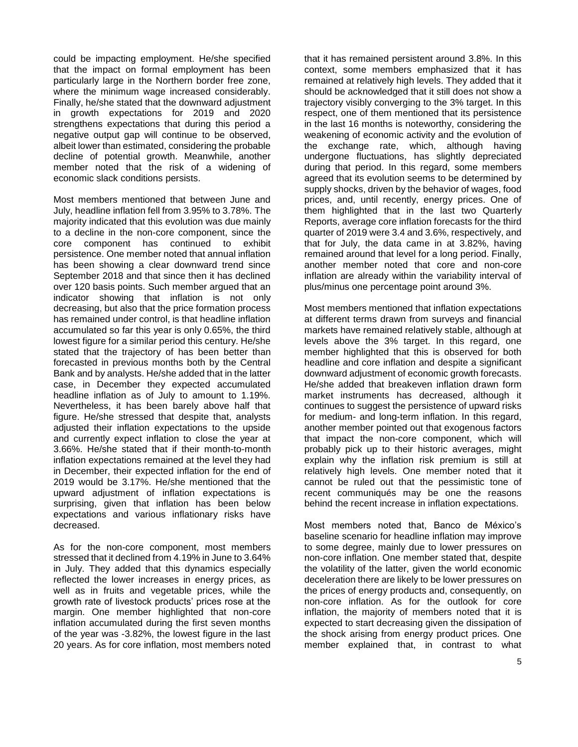could be impacting employment. He/she specified that the impact on formal employment has been particularly large in the Northern border free zone, where the minimum wage increased considerably. Finally, he/she stated that the downward adjustment in growth expectations for 2019 and 2020 strengthens expectations that during this period a negative output gap will continue to be observed, albeit lower than estimated, considering the probable decline of potential growth. Meanwhile, another member noted that the risk of a widening of economic slack conditions persists.

Most members mentioned that between June and July, headline inflation fell from 3.95% to 3.78%. The majority indicated that this evolution was due mainly to a decline in the non-core component, since the core component has continued to exhibit persistence. One member noted that annual inflation has been showing a clear downward trend since September 2018 and that since then it has declined over 120 basis points. Such member argued that an indicator showing that inflation is not only decreasing, but also that the price formation process has remained under control, is that headline inflation accumulated so far this year is only 0.65%, the third lowest figure for a similar period this century. He/she stated that the trajectory of has been better than forecasted in previous months both by the Central Bank and by analysts. He/she added that in the latter case, in December they expected accumulated headline inflation as of July to amount to 1.19%. Nevertheless, it has been barely above half that figure. He/she stressed that despite that, analysts adjusted their inflation expectations to the upside and currently expect inflation to close the year at 3.66%. He/she stated that if their month-to-month inflation expectations remained at the level they had in December, their expected inflation for the end of 2019 would be 3.17%. He/she mentioned that the upward adjustment of inflation expectations is surprising, given that inflation has been below expectations and various inflationary risks have decreased.

As for the non-core component, most members stressed that it declined from 4.19% in June to 3.64% in July. They added that this dynamics especially reflected the lower increases in energy prices, as well as in fruits and vegetable prices, while the growth rate of livestock products' prices rose at the margin. One member highlighted that non-core inflation accumulated during the first seven months of the year was -3.82%, the lowest figure in the last 20 years. As for core inflation, most members noted that it has remained persistent around 3.8%. In this context, some members emphasized that it has remained at relatively high levels. They added that it should be acknowledged that it still does not show a trajectory visibly converging to the 3% target. In this respect, one of them mentioned that its persistence in the last 16 months is noteworthy, considering the weakening of economic activity and the evolution of the exchange rate, which, although having undergone fluctuations, has slightly depreciated during that period. In this regard, some members agreed that its evolution seems to be determined by supply shocks, driven by the behavior of wages, food prices, and, until recently, energy prices. One of them highlighted that in the last two Quarterly Reports, average core inflation forecasts for the third quarter of 2019 were 3.4 and 3.6%, respectively, and that for July, the data came in at 3.82%, having remained around that level for a long period. Finally, another member noted that core and non-core inflation are already within the variability interval of plus/minus one percentage point around 3%.

Most members mentioned that inflation expectations at different terms drawn from surveys and financial markets have remained relatively stable, although at levels above the 3% target. In this regard, one member highlighted that this is observed for both headline and core inflation and despite a significant downward adjustment of economic growth forecasts. He/she added that breakeven inflation drawn form market instruments has decreased, although it continues to suggest the persistence of upward risks for medium- and long-term inflation. In this regard, another member pointed out that exogenous factors that impact the non-core component, which will probably pick up to their historic averages, might explain why the inflation risk premium is still at relatively high levels. One member noted that it cannot be ruled out that the pessimistic tone of recent communiqués may be one the reasons behind the recent increase in inflation expectations.

Most members noted that, Banco de México's baseline scenario for headline inflation may improve to some degree, mainly due to lower pressures on non-core inflation. One member stated that, despite the volatility of the latter, given the world economic deceleration there are likely to be lower pressures on the prices of energy products and, consequently, on non-core inflation. As for the outlook for core inflation, the majority of members noted that it is expected to start decreasing given the dissipation of the shock arising from energy product prices. One member explained that, in contrast to what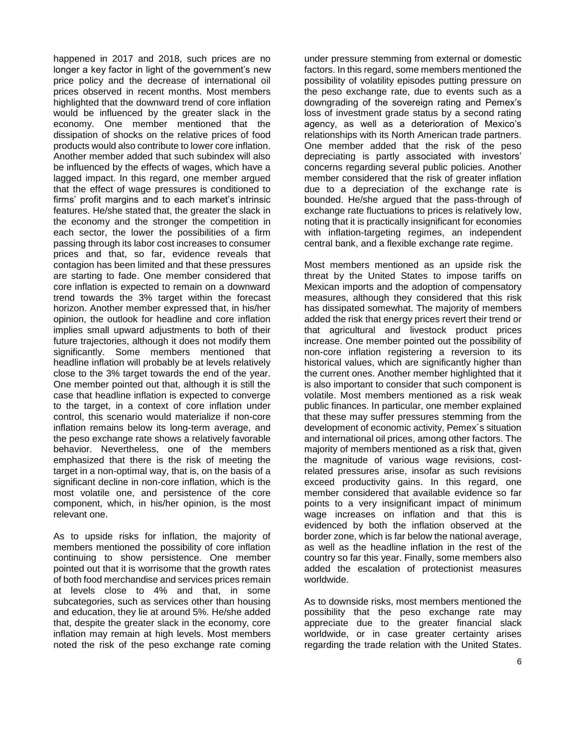happened in 2017 and 2018, such prices are no longer a key factor in light of the government's new price policy and the decrease of international oil prices observed in recent months. Most members highlighted that the downward trend of core inflation would be influenced by the greater slack in the economy. One member mentioned that the dissipation of shocks on the relative prices of food products would also contribute to lower core inflation. Another member added that such subindex will also be influenced by the effects of wages, which have a lagged impact. In this regard, one member argued that the effect of wage pressures is conditioned to firms' profit margins and to each market's intrinsic features. He/she stated that, the greater the slack in the economy and the stronger the competition in each sector, the lower the possibilities of a firm passing through its labor cost increases to consumer prices and that, so far, evidence reveals that contagion has been limited and that these pressures are starting to fade. One member considered that core inflation is expected to remain on a downward trend towards the 3% target within the forecast horizon. Another member expressed that, in his/her opinion, the outlook for headline and core inflation implies small upward adjustments to both of their future trajectories, although it does not modify them significantly. Some members mentioned that headline inflation will probably be at levels relatively close to the 3% target towards the end of the year. One member pointed out that, although it is still the case that headline inflation is expected to converge to the target, in a context of core inflation under control, this scenario would materialize if non-core inflation remains below its long-term average, and the peso exchange rate shows a relatively favorable behavior. Nevertheless, one of the members emphasized that there is the risk of meeting the target in a non-optimal way, that is, on the basis of a significant decline in non-core inflation, which is the most volatile one, and persistence of the core component, which, in his/her opinion, is the most relevant one.

As to upside risks for inflation, the majority of members mentioned the possibility of core inflation continuing to show persistence. One member pointed out that it is worrisome that the growth rates of both food merchandise and services prices remain at levels close to 4% and that, in some subcategories, such as services other than housing and education, they lie at around 5%. He/she added that, despite the greater slack in the economy, core inflation may remain at high levels. Most members noted the risk of the peso exchange rate coming under pressure stemming from external or domestic factors. In this regard, some members mentioned the possibility of volatility episodes putting pressure on the peso exchange rate, due to events such as a downgrading of the sovereign rating and Pemex's loss of investment grade status by a second rating agency, as well as a deterioration of Mexico's relationships with its North American trade partners. One member added that the risk of the peso depreciating is partly associated with investors' concerns regarding several public policies. Another member considered that the risk of greater inflation due to a depreciation of the exchange rate is bounded. He/she argued that the pass-through of exchange rate fluctuations to prices is relatively low, noting that it is practically insignificant for economies with inflation-targeting regimes, an independent central bank, and a flexible exchange rate regime.

Most members mentioned as an upside risk the threat by the United States to impose tariffs on Mexican imports and the adoption of compensatory measures, although they considered that this risk has dissipated somewhat. The majority of members added the risk that energy prices revert their trend or that agricultural and livestock product prices increase. One member pointed out the possibility of non-core inflation registering a reversion to its historical values, which are significantly higher than the current ones. Another member highlighted that it is also important to consider that such component is volatile. Most members mentioned as a risk weak public finances. In particular, one member explained that these may suffer pressures stemming from the development of economic activity, Pemex´s situation and international oil prices, among other factors. The majority of members mentioned as a risk that, given the magnitude of various wage revisions, costrelated pressures arise, insofar as such revisions exceed productivity gains. In this regard, one member considered that available evidence so far points to a very insignificant impact of minimum wage increases on inflation and that this is evidenced by both the inflation observed at the border zone, which is far below the national average, as well as the headline inflation in the rest of the country so far this year. Finally, some members also added the escalation of protectionist measures worldwide.

As to downside risks, most members mentioned the possibility that the peso exchange rate may appreciate due to the greater financial slack worldwide, or in case greater certainty arises regarding the trade relation with the United States.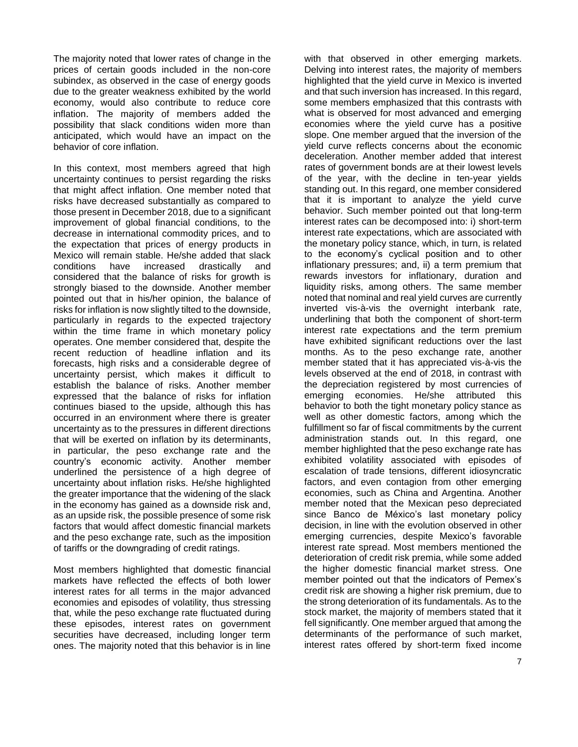The majority noted that lower rates of change in the prices of certain goods included in the non-core subindex, as observed in the case of energy goods due to the greater weakness exhibited by the world economy, would also contribute to reduce core inflation. The majority of members added the possibility that slack conditions widen more than anticipated, which would have an impact on the behavior of core inflation.

In this context, most members agreed that high uncertainty continues to persist regarding the risks that might affect inflation. One member noted that risks have decreased substantially as compared to those present in December 2018, due to a significant improvement of global financial conditions, to the decrease in international commodity prices, and to the expectation that prices of energy products in Mexico will remain stable. He/she added that slack conditions have increased drastically and considered that the balance of risks for growth is strongly biased to the downside. Another member pointed out that in his/her opinion, the balance of risks for inflation is now slightly tilted to the downside, particularly in regards to the expected trajectory within the time frame in which monetary policy operates. One member considered that, despite the recent reduction of headline inflation and its forecasts, high risks and a considerable degree of uncertainty persist, which makes it difficult to establish the balance of risks. Another member expressed that the balance of risks for inflation continues biased to the upside, although this has occurred in an environment where there is greater uncertainty as to the pressures in different directions that will be exerted on inflation by its determinants, in particular, the peso exchange rate and the country's economic activity. Another member underlined the persistence of a high degree of uncertainty about inflation risks. He/she highlighted the greater importance that the widening of the slack in the economy has gained as a downside risk and, as an upside risk, the possible presence of some risk factors that would affect domestic financial markets and the peso exchange rate, such as the imposition of tariffs or the downgrading of credit ratings.

Most members highlighted that domestic financial markets have reflected the effects of both lower interest rates for all terms in the major advanced economies and episodes of volatility, thus stressing that, while the peso exchange rate fluctuated during these episodes, interest rates on government securities have decreased, including longer term ones. The majority noted that this behavior is in line

with that observed in other emerging markets. Delving into interest rates, the majority of members highlighted that the yield curve in Mexico is inverted and that such inversion has increased. In this regard, some members emphasized that this contrasts with what is observed for most advanced and emerging economies where the yield curve has a positive slope. One member argued that the inversion of the yield curve reflects concerns about the economic deceleration. Another member added that interest rates of government bonds are at their lowest levels of the year, with the decline in ten-year yields standing out. In this regard, one member considered that it is important to analyze the yield curve behavior. Such member pointed out that long-term interest rates can be decomposed into: i) short-term interest rate expectations, which are associated with the monetary policy stance, which, in turn, is related to the economy's cyclical position and to other inflationary pressures; and, ii) a term premium that rewards investors for inflationary, duration and liquidity risks, among others. The same member noted that nominal and real yield curves are currently inverted vis-à-vis the overnight interbank rate, underlining that both the component of short-term interest rate expectations and the term premium have exhibited significant reductions over the last months. As to the peso exchange rate, another member stated that it has appreciated vis-à-vis the levels observed at the end of 2018, in contrast with the depreciation registered by most currencies of emerging economies. He/she attributed this behavior to both the tight monetary policy stance as well as other domestic factors, among which the fulfillment so far of fiscal commitments by the current administration stands out. In this regard, one member highlighted that the peso exchange rate has exhibited volatility associated with episodes of escalation of trade tensions, different idiosyncratic factors, and even contagion from other emerging economies, such as China and Argentina. Another member noted that the Mexican peso depreciated since Banco de México's last monetary policy decision, in line with the evolution observed in other emerging currencies, despite Mexico's favorable interest rate spread. Most members mentioned the deterioration of credit risk premia, while some added the higher domestic financial market stress. One member pointed out that the indicators of Pemex's credit risk are showing a higher risk premium, due to the strong deterioration of its fundamentals. As to the stock market, the majority of members stated that it fell significantly. One member argued that among the determinants of the performance of such market, interest rates offered by short-term fixed income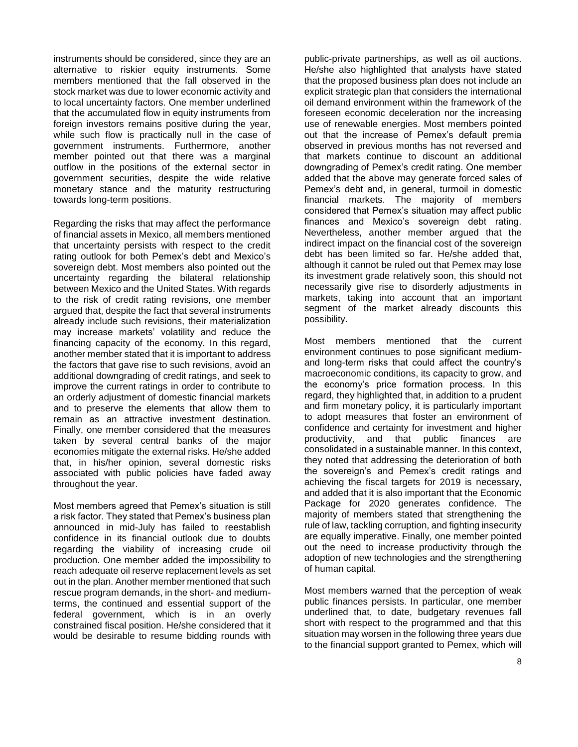instruments should be considered, since they are an alternative to riskier equity instruments. Some members mentioned that the fall observed in the stock market was due to lower economic activity and to local uncertainty factors. One member underlined that the accumulated flow in equity instruments from foreign investors remains positive during the year, while such flow is practically null in the case of government instruments. Furthermore, another member pointed out that there was a marginal outflow in the positions of the external sector in government securities, despite the wide relative monetary stance and the maturity restructuring towards long-term positions.

Regarding the risks that may affect the performance of financial assets in Mexico, all members mentioned that uncertainty persists with respect to the credit rating outlook for both Pemex's debt and Mexico's sovereign debt. Most members also pointed out the uncertainty regarding the bilateral relationship between Mexico and the United States. With regards to the risk of credit rating revisions, one member argued that, despite the fact that several instruments already include such revisions, their materialization may increase markets' volatility and reduce the financing capacity of the economy. In this regard, another member stated that it is important to address the factors that gave rise to such revisions, avoid an additional downgrading of credit ratings, and seek to improve the current ratings in order to contribute to an orderly adjustment of domestic financial markets and to preserve the elements that allow them to remain as an attractive investment destination. Finally, one member considered that the measures taken by several central banks of the major economies mitigate the external risks. He/she added that, in his/her opinion, several domestic risks associated with public policies have faded away throughout the year.

Most members agreed that Pemex's situation is still a risk factor. They stated that Pemex's business plan announced in mid-July has failed to reestablish confidence in its financial outlook due to doubts regarding the viability of increasing crude oil production. One member added the impossibility to reach adequate oil reserve replacement levels as set out in the plan. Another member mentioned that such rescue program demands, in the short- and mediumterms, the continued and essential support of the federal government, which is in an overly constrained fiscal position. He/she considered that it would be desirable to resume bidding rounds with public-private partnerships, as well as oil auctions. He/she also highlighted that analysts have stated that the proposed business plan does not include an explicit strategic plan that considers the international oil demand environment within the framework of the foreseen economic deceleration nor the increasing use of renewable energies. Most members pointed out that the increase of Pemex's default premia observed in previous months has not reversed and that markets continue to discount an additional downgrading of Pemex's credit rating. One member added that the above may generate forced sales of Pemex's debt and, in general, turmoil in domestic financial markets. The majority of members considered that Pemex's situation may affect public finances and Mexico's sovereign debt rating. Nevertheless, another member argued that the indirect impact on the financial cost of the sovereign debt has been limited so far. He/she added that, although it cannot be ruled out that Pemex may lose its investment grade relatively soon, this should not necessarily give rise to disorderly adjustments in markets, taking into account that an important segment of the market already discounts this possibility.

Most members mentioned that the current environment continues to pose significant mediumand long-term risks that could affect the country's macroeconomic conditions, its capacity to grow, and the economy's price formation process. In this regard, they highlighted that, in addition to a prudent and firm monetary policy, it is particularly important to adopt measures that foster an environment of confidence and certainty for investment and higher productivity, and that public finances are consolidated in a sustainable manner. In this context, they noted that addressing the deterioration of both the sovereign's and Pemex's credit ratings and achieving the fiscal targets for 2019 is necessary, and added that it is also important that the Economic Package for 2020 generates confidence. The majority of members stated that strengthening the rule of law, tackling corruption, and fighting insecurity are equally imperative. Finally, one member pointed out the need to increase productivity through the adoption of new technologies and the strengthening of human capital.

Most members warned that the perception of weak public finances persists. In particular, one member underlined that, to date, budgetary revenues fall short with respect to the programmed and that this situation may worsen in the following three years due to the financial support granted to Pemex, which will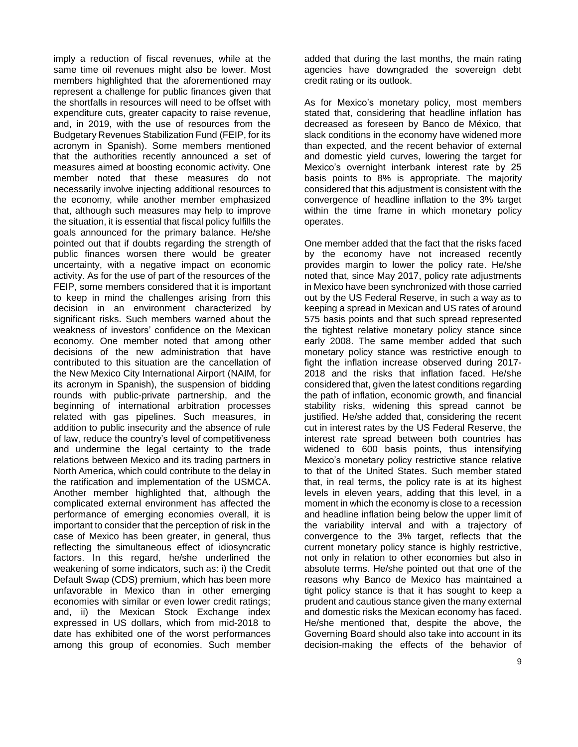imply a reduction of fiscal revenues, while at the same time oil revenues might also be lower. Most members highlighted that the aforementioned may represent a challenge for public finances given that the shortfalls in resources will need to be offset with expenditure cuts, greater capacity to raise revenue, and, in 2019, with the use of resources from the Budgetary Revenues Stabilization Fund (FEIP, for its acronym in Spanish). Some members mentioned that the authorities recently announced a set of measures aimed at boosting economic activity. One member noted that these measures do not necessarily involve injecting additional resources to the economy, while another member emphasized that, although such measures may help to improve the situation, it is essential that fiscal policy fulfills the goals announced for the primary balance. He/she pointed out that if doubts regarding the strength of public finances worsen there would be greater uncertainty, with a negative impact on economic activity. As for the use of part of the resources of the FEIP, some members considered that it is important to keep in mind the challenges arising from this decision in an environment characterized by significant risks. Such members warned about the weakness of investors' confidence on the Mexican economy. One member noted that among other decisions of the new administration that have contributed to this situation are the cancellation of the New Mexico City International Airport (NAIM, for its acronym in Spanish), the suspension of bidding rounds with public-private partnership, and the beginning of international arbitration processes related with gas pipelines. Such measures, in addition to public insecurity and the absence of rule of law, reduce the country's level of competitiveness and undermine the legal certainty to the trade relations between Mexico and its trading partners in North America, which could contribute to the delay in the ratification and implementation of the USMCA. Another member highlighted that, although the complicated external environment has affected the performance of emerging economies overall, it is important to consider that the perception of risk in the case of Mexico has been greater, in general, thus reflecting the simultaneous effect of idiosyncratic factors. In this regard, he/she underlined the weakening of some indicators, such as: i) the Credit Default Swap (CDS) premium, which has been more unfavorable in Mexico than in other emerging economies with similar or even lower credit ratings; and, ii) the Mexican Stock Exchange index expressed in US dollars, which from mid-2018 to date has exhibited one of the worst performances among this group of economies. Such member added that during the last months, the main rating agencies have downgraded the sovereign debt credit rating or its outlook.

As for Mexico's monetary policy, most members stated that, considering that headline inflation has decreased as foreseen by Banco de México, that slack conditions in the economy have widened more than expected, and the recent behavior of external and domestic yield curves, lowering the target for Mexico's overnight interbank interest rate by 25 basis points to 8% is appropriate. The majority considered that this adjustment is consistent with the convergence of headline inflation to the 3% target within the time frame in which monetary policy operates.

One member added that the fact that the risks faced by the economy have not increased recently provides margin to lower the policy rate. He/she noted that, since May 2017, policy rate adjustments in Mexico have been synchronized with those carried out by the US Federal Reserve, in such a way as to keeping a spread in Mexican and US rates of around 575 basis points and that such spread represented the tightest relative monetary policy stance since early 2008. The same member added that such monetary policy stance was restrictive enough to fight the inflation increase observed during 2017- 2018 and the risks that inflation faced. He/she considered that, given the latest conditions regarding the path of inflation, economic growth, and financial stability risks, widening this spread cannot be justified. He/she added that, considering the recent cut in interest rates by the US Federal Reserve, the interest rate spread between both countries has widened to 600 basis points, thus intensifying Mexico's monetary policy restrictive stance relative to that of the United States. Such member stated that, in real terms, the policy rate is at its highest levels in eleven years, adding that this level, in a moment in which the economy is close to a recession and headline inflation being below the upper limit of the variability interval and with a trajectory of convergence to the 3% target, reflects that the current monetary policy stance is highly restrictive, not only in relation to other economies but also in absolute terms. He/she pointed out that one of the reasons why Banco de Mexico has maintained a tight policy stance is that it has sought to keep a prudent and cautious stance given the many external and domestic risks the Mexican economy has faced. He/she mentioned that, despite the above, the Governing Board should also take into account in its decision-making the effects of the behavior of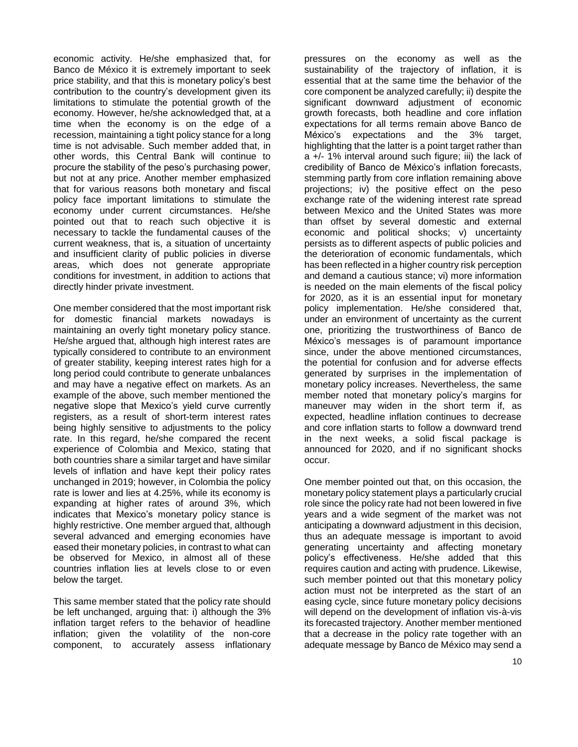economic activity. He/she emphasized that, for Banco de México it is extremely important to seek price stability, and that this is monetary policy's best contribution to the country's development given its limitations to stimulate the potential growth of the economy. However, he/she acknowledged that, at a time when the economy is on the edge of a recession, maintaining a tight policy stance for a long time is not advisable. Such member added that, in other words, this Central Bank will continue to procure the stability of the peso's purchasing power, but not at any price. Another member emphasized that for various reasons both monetary and fiscal policy face important limitations to stimulate the economy under current circumstances. He/she pointed out that to reach such objective it is necessary to tackle the fundamental causes of the current weakness, that is, a situation of uncertainty and insufficient clarity of public policies in diverse areas, which does not generate appropriate conditions for investment, in addition to actions that directly hinder private investment.

One member considered that the most important risk for domestic financial markets nowadays is maintaining an overly tight monetary policy stance. He/she argued that, although high interest rates are typically considered to contribute to an environment of greater stability, keeping interest rates high for a long period could contribute to generate unbalances and may have a negative effect on markets. As an example of the above, such member mentioned the negative slope that Mexico's yield curve currently registers, as a result of short-term interest rates being highly sensitive to adjustments to the policy rate. In this regard, he/she compared the recent experience of Colombia and Mexico, stating that both countries share a similar target and have similar levels of inflation and have kept their policy rates unchanged in 2019; however, in Colombia the policy rate is lower and lies at 4.25%, while its economy is expanding at higher rates of around 3%, which indicates that Mexico's monetary policy stance is highly restrictive. One member argued that, although several advanced and emerging economies have eased their monetary policies, in contrast to what can be observed for Mexico, in almost all of these countries inflation lies at levels close to or even below the target.

This same member stated that the policy rate should be left unchanged, arguing that: i) although the 3% inflation target refers to the behavior of headline inflation; given the volatility of the non-core component, to accurately assess inflationary pressures on the economy as well as the sustainability of the trajectory of inflation, it is essential that at the same time the behavior of the core component be analyzed carefully; ii) despite the significant downward adjustment of economic growth forecasts, both headline and core inflation expectations for all terms remain above Banco de México's expectations and the 3% target, highlighting that the latter is a point target rather than a +/- 1% interval around such figure; iii) the lack of credibility of Banco de México's inflation forecasts, stemming partly from core inflation remaining above projections; iv) the positive effect on the peso exchange rate of the widening interest rate spread between Mexico and the United States was more than offset by several domestic and external economic and political shocks; v) uncertainty persists as to different aspects of public policies and the deterioration of economic fundamentals, which has been reflected in a higher country risk perception and demand a cautious stance; vi) more information is needed on the main elements of the fiscal policy for 2020, as it is an essential input for monetary policy implementation. He/she considered that, under an environment of uncertainty as the current one, prioritizing the trustworthiness of Banco de México's messages is of paramount importance since, under the above mentioned circumstances, the potential for confusion and for adverse effects generated by surprises in the implementation of monetary policy increases. Nevertheless, the same member noted that monetary policy's margins for maneuver may widen in the short term if, as expected, headline inflation continues to decrease and core inflation starts to follow a downward trend in the next weeks, a solid fiscal package is announced for 2020, and if no significant shocks occur.

One member pointed out that, on this occasion, the monetary policy statement plays a particularly crucial role since the policy rate had not been lowered in five years and a wide segment of the market was not anticipating a downward adjustment in this decision, thus an adequate message is important to avoid generating uncertainty and affecting monetary policy's effectiveness. He/she added that this requires caution and acting with prudence. Likewise, such member pointed out that this monetary policy action must not be interpreted as the start of an easing cycle, since future monetary policy decisions will depend on the development of inflation vis-à-vis its forecasted trajectory. Another member mentioned that a decrease in the policy rate together with an adequate message by Banco de México may send a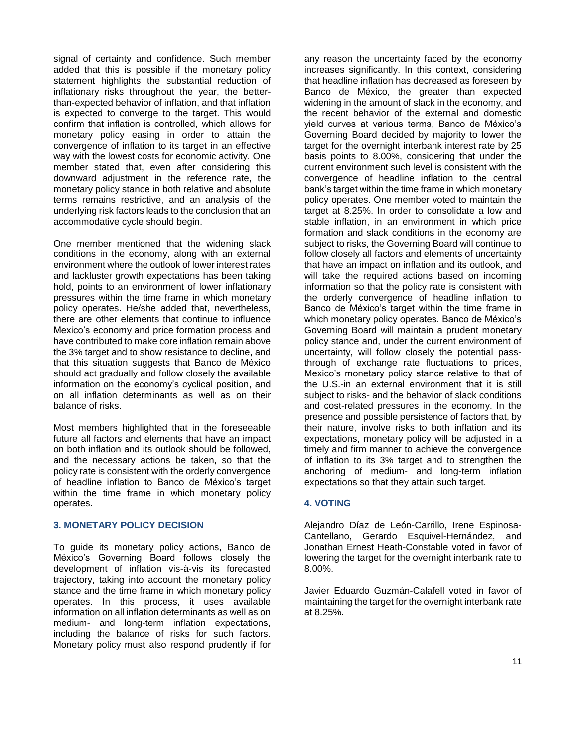signal of certainty and confidence. Such member added that this is possible if the monetary policy statement highlights the substantial reduction of inflationary risks throughout the year, the betterthan-expected behavior of inflation, and that inflation is expected to converge to the target. This would confirm that inflation is controlled, which allows for monetary policy easing in order to attain the convergence of inflation to its target in an effective way with the lowest costs for economic activity. One member stated that, even after considering this downward adjustment in the reference rate, the monetary policy stance in both relative and absolute terms remains restrictive, and an analysis of the underlying risk factors leads to the conclusion that an accommodative cycle should begin.

One member mentioned that the widening slack conditions in the economy, along with an external environment where the outlook of lower interest rates and lackluster growth expectations has been taking hold, points to an environment of lower inflationary pressures within the time frame in which monetary policy operates. He/she added that, nevertheless, there are other elements that continue to influence Mexico's economy and price formation process and have contributed to make core inflation remain above the 3% target and to show resistance to decline, and that this situation suggests that Banco de México should act gradually and follow closely the available information on the economy's cyclical position, and on all inflation determinants as well as on their balance of risks.

Most members highlighted that in the foreseeable future all factors and elements that have an impact on both inflation and its outlook should be followed, and the necessary actions be taken, so that the policy rate is consistent with the orderly convergence of headline inflation to Banco de México's target within the time frame in which monetary policy operates.

# **3. MONETARY POLICY DECISION**

To guide its monetary policy actions, Banco de México's Governing Board follows closely the development of inflation vis-à-vis its forecasted trajectory, taking into account the monetary policy stance and the time frame in which monetary policy operates. In this process, it uses available information on all inflation determinants as well as on medium- and long-term inflation expectations, including the balance of risks for such factors. Monetary policy must also respond prudently if for any reason the uncertainty faced by the economy increases significantly. In this context, considering that headline inflation has decreased as foreseen by Banco de México, the greater than expected widening in the amount of slack in the economy, and the recent behavior of the external and domestic yield curves at various terms, Banco de México's Governing Board decided by majority to lower the target for the overnight interbank interest rate by 25 basis points to 8.00%, considering that under the current environment such level is consistent with the convergence of headline inflation to the central bank's target within the time frame in which monetary policy operates. One member voted to maintain the target at 8.25%. In order to consolidate a low and stable inflation, in an environment in which price formation and slack conditions in the economy are subject to risks, the Governing Board will continue to follow closely all factors and elements of uncertainty that have an impact on inflation and its outlook, and will take the required actions based on incoming information so that the policy rate is consistent with the orderly convergence of headline inflation to Banco de México's target within the time frame in which monetary policy operates. Banco de México's Governing Board will maintain a prudent monetary policy stance and, under the current environment of uncertainty, will follow closely the potential passthrough of exchange rate fluctuations to prices, Mexico's monetary policy stance relative to that of the U.S.-in an external environment that it is still subject to risks- and the behavior of slack conditions and cost-related pressures in the economy. In the presence and possible persistence of factors that, by their nature, involve risks to both inflation and its expectations, monetary policy will be adjusted in a timely and firm manner to achieve the convergence of inflation to its 3% target and to strengthen the anchoring of medium- and long-term inflation expectations so that they attain such target.

#### **4. VOTING**

Alejandro Díaz de León-Carrillo, Irene Espinosa-Cantellano, Gerardo Esquivel-Hernández, and Jonathan Ernest Heath-Constable voted in favor of lowering the target for the overnight interbank rate to 8.00%.

Javier Eduardo Guzmán-Calafell voted in favor of maintaining the target for the overnight interbank rate at 8.25%.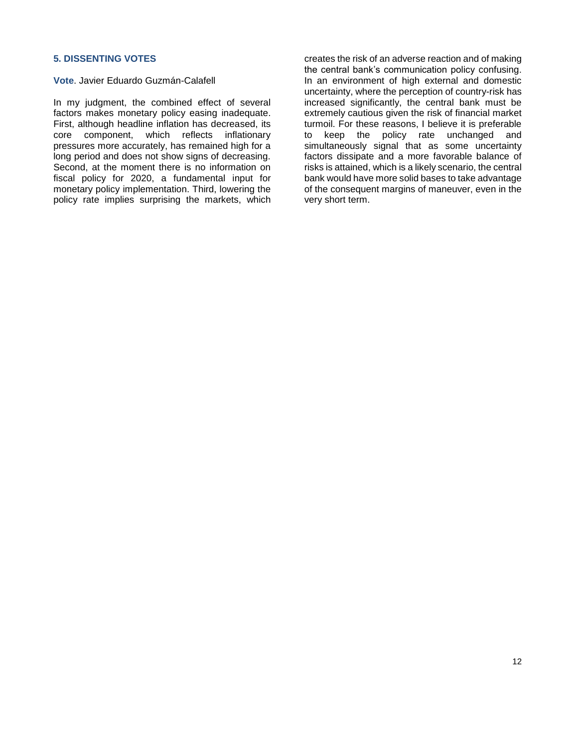# **5. DISSENTING VOTES**

### **Vote**. Javier Eduardo Guzmán-Calafell

In my judgment, the combined effect of several factors makes monetary policy easing inadequate. First, although headline inflation has decreased, its core component, which reflects inflationary pressures more accurately, has remained high for a long period and does not show signs of decreasing. Second, at the moment there is no information on fiscal policy for 2020, a fundamental input for monetary policy implementation. Third, lowering the policy rate implies surprising the markets, which

creates the risk of an adverse reaction and of making the central bank's communication policy confusing. In an environment of high external and domestic uncertainty, where the perception of country-risk has increased significantly, the central bank must be extremely cautious given the risk of financial market turmoil. For these reasons, I believe it is preferable to keep the policy rate unchanged and simultaneously signal that as some uncertainty factors dissipate and a more favorable balance of risks is attained, which is a likely scenario, the central bank would have more solid bases to take advantage of the consequent margins of maneuver, even in the very short term.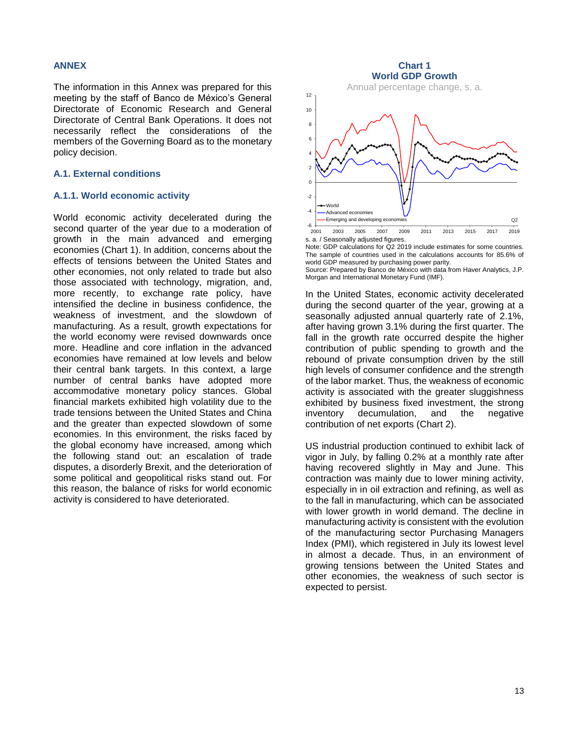# **ANNEX**

The information in this Annex was prepared for this meeting by the staff of Banco de México's General Directorate of Economic Research and General Directorate of Central Bank Operations. It does not necessarily reflect the considerations of the members of the Governing Board as to the monetary policy decision.

# **A.1. External conditions**

# **A.1.1. World economic activity**

World economic activity decelerated during the second quarter of the year due to a moderation of growth in the main advanced and emerging economies [\(Chart 1\)](#page-13-0). In addition, concerns about the effects of tensions between the United States and other economies, not only related to trade but also those associated with technology, migration, and, more recently, to exchange rate policy, have intensified the decline in business confidence, the weakness of investment, and the slowdown of manufacturing. As a result, growth expectations for the world economy were revised downwards once more. Headline and core inflation in the advanced economies have remained at low levels and below their central bank targets. In this context, a large number of central banks have adopted more accommodative monetary policy stances. Global financial markets exhibited high volatility due to the trade tensions between the United States and China and the greater than expected slowdown of some economies. In this environment, the risks faced by the global economy have increased, among which the following stand out: an escalation of trade disputes, a disorderly Brexit, and the deterioration of some political and geopolitical risks stand out. For this reason, the balance of risks for world economic activity is considered to have deteriorated.

#### <span id="page-13-0"></span>**World GDP Growth** Annual percentage change, s. a.  $-6 + 2001$ -4 -2 0 2 4 6 8 10 12 2001 2003 2005 2007 2009 2011 2013 2015 2017 2019 World Advanced economies Emerging and developing economies Q2

**Chart 1**

s. a. / Seasonally adjusted figures. Note: GDP calculations for Q2 2019 include estimates for some countries. The sample of countries used in the calculations accounts for 85.6% of world GDP measured by purchasing power parity. Source: Prepared by Banco de México with data from Haver Analytics, J.P.

Morgan and International Monetary Fund (IMF).

In the United States, economic activity decelerated during the second quarter of the year, growing at a seasonally adjusted annual quarterly rate of 2.1%, after having grown 3.1% during the first quarter. The fall in the growth rate occurred despite the higher contribution of public spending to growth and the rebound of private consumption driven by the still high levels of consumer confidence and the strength of the labor market. Thus, the weakness of economic activity is associated with the greater sluggishness exhibited by business fixed investment, the strong inventory decumulation, and the negative contribution of net exports [\(Chart 2\)](#page-14-0).

US industrial production continued to exhibit lack of vigor in July, by falling 0.2% at a monthly rate after having recovered slightly in May and June. This contraction was mainly due to lower mining activity, especially in in oil extraction and refining, as well as to the fall in manufacturing, which can be associated with lower growth in world demand. The decline in manufacturing activity is consistent with the evolution of the manufacturing sector Purchasing Managers Index (PMI), which registered in July its lowest level in almost a decade. Thus, in an environment of growing tensions between the United States and other economies, the weakness of such sector is expected to persist.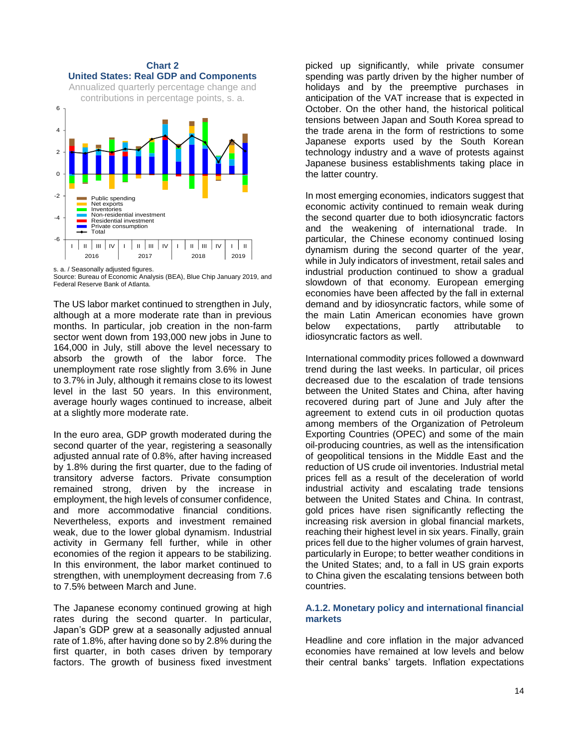<span id="page-14-0"></span>

s. a. / Seasonally adjusted figures.

Source: Bureau of Economic Analysis (BEA), Blue Chip January 2019, and Federal Reserve Bank of Atlanta.

The US labor market continued to strengthen in July, although at a more moderate rate than in previous months. In particular, job creation in the non-farm sector went down from 193,000 new jobs in June to 164,000 in July, still above the level necessary to absorb the growth of the labor force. The unemployment rate rose slightly from 3.6% in June to 3.7% in July, although it remains close to its lowest level in the last 50 years. In this environment, average hourly wages continued to increase, albeit at a slightly more moderate rate.

In the euro area, GDP growth moderated during the second quarter of the year, registering a seasonally adjusted annual rate of 0.8%, after having increased by 1.8% during the first quarter, due to the fading of transitory adverse factors. Private consumption remained strong, driven by the increase in employment, the high levels of consumer confidence, and more accommodative financial conditions. Nevertheless, exports and investment remained weak, due to the lower global dynamism. Industrial activity in Germany fell further, while in other economies of the region it appears to be stabilizing. In this environment, the labor market continued to strengthen, with unemployment decreasing from 7.6 to 7.5% between March and June.

The Japanese economy continued growing at high rates during the second quarter. In particular, Japan's GDP grew at a seasonally adjusted annual rate of 1.8%, after having done so by 2.8% during the first quarter, in both cases driven by temporary factors. The growth of business fixed investment

picked up significantly, while private consumer spending was partly driven by the higher number of holidays and by the preemptive purchases in anticipation of the VAT increase that is expected in October. On the other hand, the historical political tensions between Japan and South Korea spread to the trade arena in the form of restrictions to some Japanese exports used by the South Korean technology industry and a wave of protests against Japanese business establishments taking place in the latter country.

In most emerging economies, indicators suggest that economic activity continued to remain weak during the second quarter due to both idiosyncratic factors and the weakening of international trade. In particular, the Chinese economy continued losing dynamism during the second quarter of the year, while in July indicators of investment, retail sales and industrial production continued to show a gradual slowdown of that economy. European emerging economies have been affected by the fall in external demand and by idiosyncratic factors, while some of the main Latin American economies have grown below expectations, partly attributable to idiosyncratic factors as well.

International commodity prices followed a downward trend during the last weeks. In particular, oil prices decreased due to the escalation of trade tensions between the United States and China, after having recovered during part of June and July after the agreement to extend cuts in oil production quotas among members of the Organization of Petroleum Exporting Countries (OPEC) and some of the main oil-producing countries, as well as the intensification of geopolitical tensions in the Middle East and the reduction of US crude oil inventories. Industrial metal prices fell as a result of the deceleration of world industrial activity and escalating trade tensions between the United States and China. In contrast, gold prices have risen significantly reflecting the increasing risk aversion in global financial markets, reaching their highest level in six years. Finally, grain prices fell due to the higher volumes of grain harvest, particularly in Europe; to better weather conditions in the United States; and, to a fall in US grain exports to China given the escalating tensions between both countries.

# **A.1.2. Monetary policy and international financial markets**

Headline and core inflation in the major advanced economies have remained at low levels and below their central banks' targets. Inflation expectations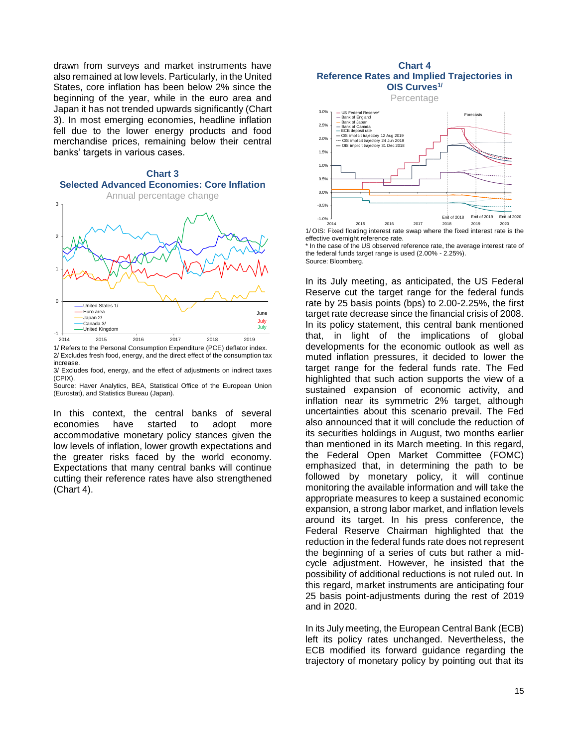drawn from surveys and market instruments have also remained at low levels. Particularly, in the United States, core inflation has been below 2% since the beginning of the year, while in the euro area and Japan it has not trended upwards significantly [\(Chart](#page-15-0)  [3\)](#page-15-0). In most emerging economies, headline inflation fell due to the lower energy products and food merchandise prices, remaining below their central banks' targets in various cases.

<span id="page-15-0"></span>

1/ Refers to the Personal Consumption Expenditure (PCE) deflator index. 2/ Excludes fresh food, energy, and the direct effect of the consumption tax increase.

3/ Excludes food, energy, and the effect of adjustments on indirect taxes (CPIX).

Source: Haver Analytics, BEA, Statistical Office of the European Union (Eurostat), and Statistics Bureau (Japan).

In this context, the central banks of several economies have started to adopt more accommodative monetary policy stances given the low levels of inflation, lower growth expectations and the greater risks faced by the world economy. Expectations that many central banks will continue cutting their reference rates have also strengthened [\(Chart 4\)](#page-15-1).

#### <span id="page-15-1"></span>**Chart 4 Reference Rates and Implied Trajectories in OIS Curves1/**

Percentage



effective overnight reference rate.

\* In the case of the US observed reference rate, the average interest rate of the federal funds target range is used (2.00% - 2.25%). Source: Bloomberg.

In its July meeting, as anticipated, the US Federal Reserve cut the target range for the federal funds rate by 25 basis points (bps) to 2.00-2.25%, the first target rate decrease since the financial crisis of 2008. In its policy statement, this central bank mentioned that, in light of the implications of global developments for the economic outlook as well as muted inflation pressures, it decided to lower the target range for the federal funds rate. The Fed highlighted that such action supports the view of a sustained expansion of economic activity, and inflation near its symmetric 2% target, although uncertainties about this scenario prevail. The Fed also announced that it will conclude the reduction of its securities holdings in August, two months earlier than mentioned in its March meeting. In this regard, the Federal Open Market Committee (FOMC) emphasized that, in determining the path to be followed by monetary policy, it will continue monitoring the available information and will take the appropriate measures to keep a sustained economic expansion, a strong labor market, and inflation levels around its target. In his press conference, the Federal Reserve Chairman highlighted that the reduction in the federal funds rate does not represent the beginning of a series of cuts but rather a midcycle adjustment. However, he insisted that the possibility of additional reductions is not ruled out. In this regard, market instruments are anticipating four 25 basis point-adjustments during the rest of 2019 and in 2020.

In its July meeting, the European Central Bank (ECB) left its policy rates unchanged. Nevertheless, the ECB modified its forward guidance regarding the trajectory of monetary policy by pointing out that its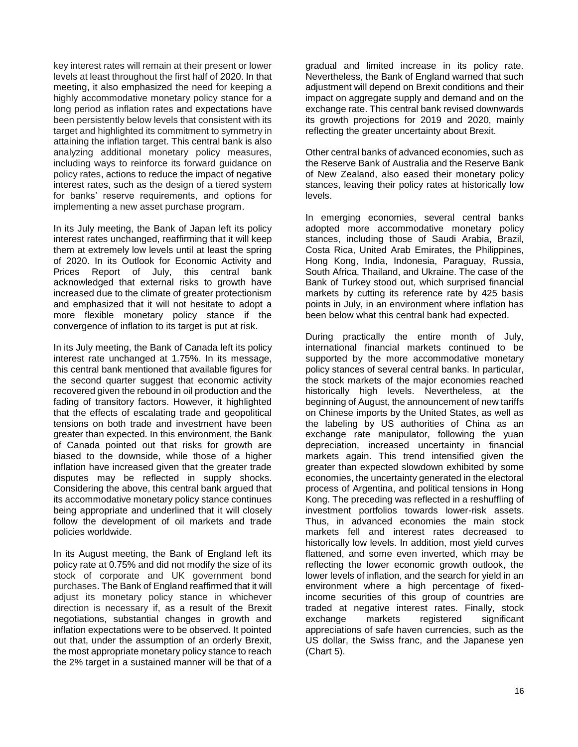key interest rates will remain at their present or lower levels at least throughout the first half of 2020. In that meeting, it also emphasized the need for keeping a highly accommodative monetary policy stance for a long period as inflation rates and expectations have been persistently below levels that consistent with its target and highlighted its commitment to symmetry in attaining the inflation target. This central bank is also analyzing additional monetary policy measures, including ways to reinforce its forward guidance on policy rates, actions to reduce the impact of negative interest rates, such as the design of a tiered system for banks' reserve requirements, and options for implementing a new asset purchase program.

In its July meeting, the Bank of Japan left its policy interest rates unchanged, reaffirming that it will keep them at extremely low levels until at least the spring of 2020. In its Outlook for Economic Activity and Prices Report of July, this central bank acknowledged that external risks to growth have increased due to the climate of greater protectionism and emphasized that it will not hesitate to adopt a more flexible monetary policy stance if the convergence of inflation to its target is put at risk.

In its July meeting, the Bank of Canada left its policy interest rate unchanged at 1.75%. In its message, this central bank mentioned that available figures for the second quarter suggest that economic activity recovered given the rebound in oil production and the fading of transitory factors. However, it highlighted that the effects of escalating trade and geopolitical tensions on both trade and investment have been greater than expected. In this environment, the Bank of Canada pointed out that risks for growth are biased to the downside, while those of a higher inflation have increased given that the greater trade disputes may be reflected in supply shocks. Considering the above, this central bank argued that its accommodative monetary policy stance continues being appropriate and underlined that it will closely follow the development of oil markets and trade policies worldwide.

In its August meeting, the Bank of England left its policy rate at 0.75% and did not modify the size of its stock of corporate and UK government bond purchases. The Bank of England reaffirmed that it will adjust its monetary policy stance in whichever direction is necessary if, as a result of the Brexit negotiations, substantial changes in growth and inflation expectations were to be observed. It pointed out that, under the assumption of an orderly Brexit, the most appropriate monetary policy stance to reach the 2% target in a sustained manner will be that of a

gradual and limited increase in its policy rate. Nevertheless, the Bank of England warned that such adjustment will depend on Brexit conditions and their impact on aggregate supply and demand and on the exchange rate. This central bank revised downwards its growth projections for 2019 and 2020, mainly reflecting the greater uncertainty about Brexit.

Other central banks of advanced economies, such as the Reserve Bank of Australia and the Reserve Bank of New Zealand, also eased their monetary policy stances, leaving their policy rates at historically low levels.

In emerging economies, several central banks adopted more accommodative monetary policy stances, including those of Saudi Arabia, Brazil, Costa Rica, United Arab Emirates, the Philippines, Hong Kong, India, Indonesia, Paraguay, Russia, South Africa, Thailand, and Ukraine. The case of the Bank of Turkey stood out, which surprised financial markets by cutting its reference rate by 425 basis points in July, in an environment where inflation has been below what this central bank had expected.

During practically the entire month of July, international financial markets continued to be supported by the more accommodative monetary policy stances of several central banks. In particular, the stock markets of the major economies reached historically high levels. Nevertheless, at the beginning of August, the announcement of new tariffs on Chinese imports by the United States, as well as the labeling by US authorities of China as an exchange rate manipulator, following the yuan depreciation, increased uncertainty in financial markets again. This trend intensified given the greater than expected slowdown exhibited by some economies, the uncertainty generated in the electoral process of Argentina, and political tensions in Hong Kong. The preceding was reflected in a reshuffling of investment portfolios towards lower-risk assets. Thus, in advanced economies the main stock markets fell and interest rates decreased to historically low levels. In addition, most yield curves flattened, and some even inverted, which may be reflecting the lower economic growth outlook, the lower levels of inflation, and the search for yield in an environment where a high percentage of fixedincome securities of this group of countries are traded at negative interest rates. Finally, stock exchange markets registered significant appreciations of safe haven currencies, such as the US dollar, the Swiss franc, and the Japanese yen [\(Chart 5\)](#page-17-0).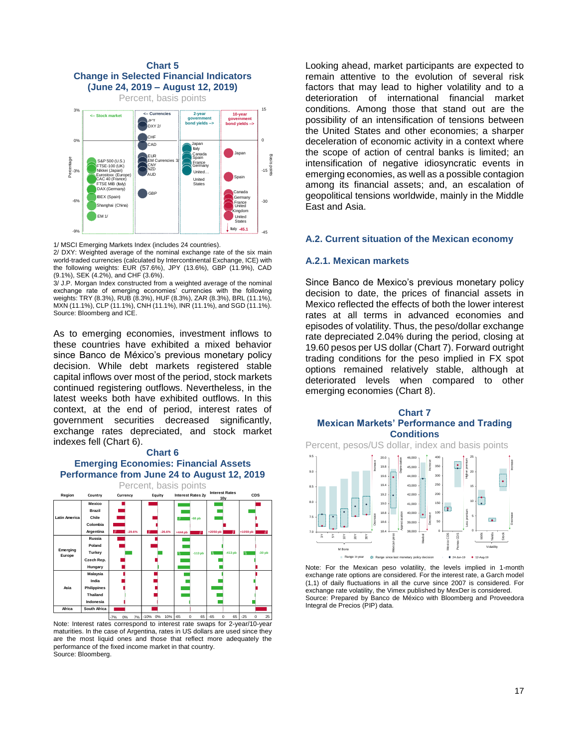<span id="page-17-0"></span>

1/ MSCI Emerging Markets Index (includes 24 countries).

2/ DXY: Weighted average of the nominal exchange rate of the six main world-traded currencies (calculated by Intercontinental Exchange, ICE) with the following weights: EUR (57.6%), JPY (13.6%), GBP (11.9%), CAD (9.1%), SEK (4.2%), and CHF (3.6%).

3/ J.P. Morgan Index constructed from a weighted average of the nominal exchange rate of emerging economies' currencies with the following weights: TRY (8.3%), RUB (8.3%), HUF (8.3%), ZAR (8.3%), BRL (11.1%), MXN (11.1%), CLP (11.1%), CNH (11.1%), INR (11.1%), and SGD (11.1%). Source: Bloomberg and ICE.

As to emerging economies, investment inflows to these countries have exhibited a mixed behavior since Banco de México's previous monetary policy decision. While debt markets registered stable capital inflows over most of the period, stock markets continued registering outflows. Nevertheless, in the latest weeks both have exhibited outflows. In this context, at the end of period, interest rates of government securities decreased significantly, exchange rates depreciated, and stock market indexes fell [\(Chart 6\)](#page-17-1).

# <span id="page-17-1"></span>**Chart 6 Emerging Economies: Financial Assets Performance from June 24 to August 12, 2019**



Note: Interest rates correspond to interest rate swaps for 2-year/10-year maturities. In the case of Argentina, rates in US dollars are used since they are the most liquid ones and those that reflect more adequately the performance of the fixed income market in that country. Source: Bloomberg.

Looking ahead, market participants are expected to remain attentive to the evolution of several risk factors that may lead to higher volatility and to a deterioration of international financial market conditions. Among those that stand out are the possibility of an intensification of tensions between the United States and other economies; a sharper deceleration of economic activity in a context where the scope of action of central banks is limited; an intensification of negative idiosyncratic events in emerging economies, as well as a possible contagion among its financial assets; and, an escalation of geopolitical tensions worldwide, mainly in the Middle East and Asia.

### **A.2. Current situation of the Mexican economy**

#### **A.2.1. Mexican markets**

Since Banco de Mexico's previous monetary policy decision to date, the prices of financial assets in Mexico reflected the effects of both the lower interest rates at all terms in advanced economies and episodes of volatility. Thus, the peso/dollar exchange rate depreciated 2.04% during the period, closing at 19.60 pesos per US dollar [\(Chart 7\)](#page-17-2). Forward outright trading conditions for the peso implied in FX spot options remained relatively stable, although at deteriorated levels when compared to other emerging economies [\(Chart 8\)](#page-18-0).

<span id="page-17-2"></span>

Note: For the Mexican peso volatility, the levels implied in 1-month exchange rate options are considered. For the interest rate, a Garch model (1,1) of daily fluctuations in all the curve since 2007 is considered. For exchange rate volatility, the Vimex published by MexDer is considered. Source: Prepared by Banco de México with Bloomberg and Proveedora Integral de Precios (PIP) data.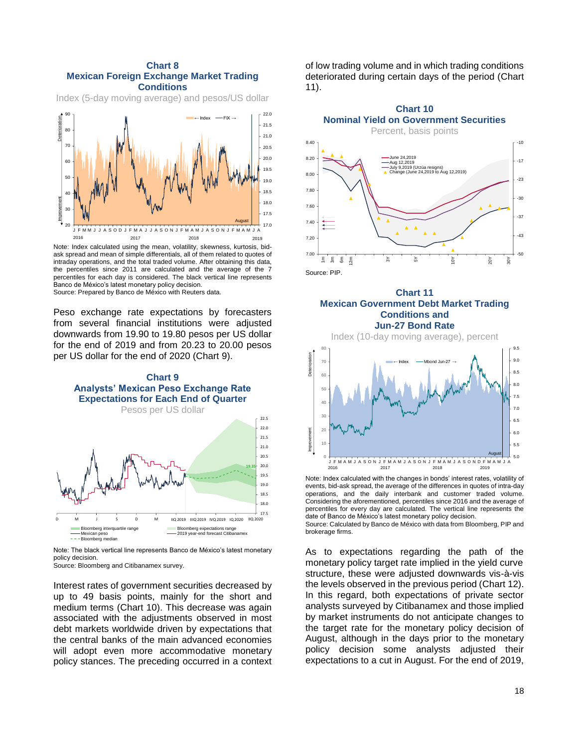#### <span id="page-18-0"></span>**Chart 8 Mexican Foreign Exchange Market Trading Conditions**

Index (5-day moving average) and pesos/US dollar



Note: Index calculated using the mean, volatility, skewness, kurtosis, bidask spread and mean of simple differentials, all of them related to quotes of intraday operations, and the total traded volume. After obtaining this data, the percentiles since 2011 are calculated and the average of the 7 percentiles for each day is considered. The black vertical line represents Banco de México's latest monetary policy decision. Source: Prepared by Banco de México with Reuters data.

Peso exchange rate expectations by forecasters from several financial institutions were adjusted downwards from 19.90 to 19.80 pesos per US dollar for the end of 2019 and from 20.23 to 20.00 pesos per US dollar for the end of 2020 (Chart 9).



Note: The black vertical line represents Banco de México's latest monetary policy decision.

Source: Bloomberg and Citibanamex survey.

Interest rates of government securities decreased by up to 49 basis points, mainly for the short and medium terms [\(Chart 10\)](#page-18-1). This decrease was again associated with the adjustments observed in most debt markets worldwide driven by expectations that the central banks of the main advanced economies will adopt even more accommodative monetary policy stances. The preceding occurred in a context of low trading volume and in which trading conditions deteriorated during certain days of the period [\(Chart](#page-18-2)  [11\)](#page-18-2).

<span id="page-18-1"></span>

#### <span id="page-18-2"></span>**Chart 11 Mexican Government Debt Market Trading Conditions and Jun-27 Bond Rate**



Note: Index calculated with the changes in bonds' interest rates, volatility of events, bid-ask spread, the average of the differences in quotes of intra-day operations, and the daily interbank and customer traded volume. Considering the aforementioned, percentiles since 2016 and the average of percentiles for every day are calculated. The vertical line represents the date of Banco de México's latest monetary policy decision. Source: Calculated by Banco de México with data from Bloomberg, PIP and brokerage firms.

As to expectations regarding the path of the monetary policy target rate implied in the yield curve structure, these were adjusted downwards vis-à-vis the levels observed in the previous period [\(Chart 12\)](#page-19-0). In this regard, both expectations of private sector analysts surveyed by Citibanamex and those implied by market instruments do not anticipate changes to the target rate for the monetary policy decision of August, although in the days prior to the monetary policy decision some analysts adjusted their expectations to a cut in August. For the end of 2019,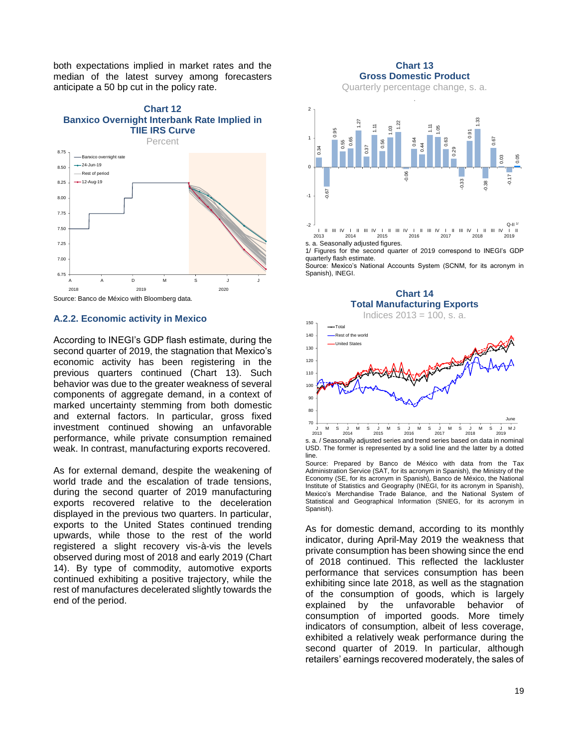both expectations implied in market rates and the median of the latest survey among forecasters anticipate a 50 bp cut in the policy rate.

<span id="page-19-0"></span>

# **A.2.2. Economic activity in Mexico**

According to INEGI's GDP flash estimate, during the second quarter of 2019, the stagnation that Mexico's economic activity has been registering in the previous quarters continued [\(Chart 13\)](#page-19-1). Such behavior was due to the greater weakness of several components of aggregate demand, in a context of marked uncertainty stemming from both domestic and external factors. In particular, gross fixed investment continued showing an unfavorable performance, while private consumption remained weak. In contrast, manufacturing exports recovered.

As for external demand, despite the weakening of world trade and the escalation of trade tensions, during the second quarter of 2019 manufacturing exports recovered relative to the deceleration displayed in the previous two quarters. In particular, exports to the United States continued trending upwards, while those to the rest of the world registered a slight recovery vis-à-vis the levels observed during most of 2018 and early 2019 [\(Chart](#page-19-2)  [14\)](#page-19-2). By type of commodity, automotive exports continued exhibiting a positive trajectory, while the rest of manufactures decelerated slightly towards the end of the period.

**Chart 13 Gross Domestic Product**

Quarterly percentage change, s. a.

<span id="page-19-1"></span>

1/ Figures for the second quarter of 2019 correspond to INEGI's GDP quarterly flash estimate.

Source: Mexico's National Accounts System (SCNM, for its acronym in Spanish), INEGI.

<span id="page-19-2"></span>

s. a. / Seasonally adjusted series and trend series based on data in nominal USD. The former is represented by a solid line and the latter by a dotted line.

Source: Prepared by Banco de México with data from the Tax Administration Service (SAT, for its acronym in Spanish), the Ministry of the Economy (SE, for its acronym in Spanish), Banco de México, the National Institute of Statistics and Geography (INEGI, for its acronym in Spanish), Mexico's Merchandise Trade Balance, and the National System of Statistical and Geographical Information (SNIEG, for its acronym in Spanish).

As for domestic demand, according to its monthly indicator, during April-May 2019 the weakness that private consumption has been showing since the end of 2018 continued. This reflected the lackluster performance that services consumption has been exhibiting since late 2018, as well as the stagnation of the consumption of goods, which is largely explained by the unfavorable behavior of consumption of imported goods. More timely indicators of consumption, albeit of less coverage, exhibited a relatively weak performance during the second quarter of 2019. In particular, although retailers' earnings recovered moderately, the sales of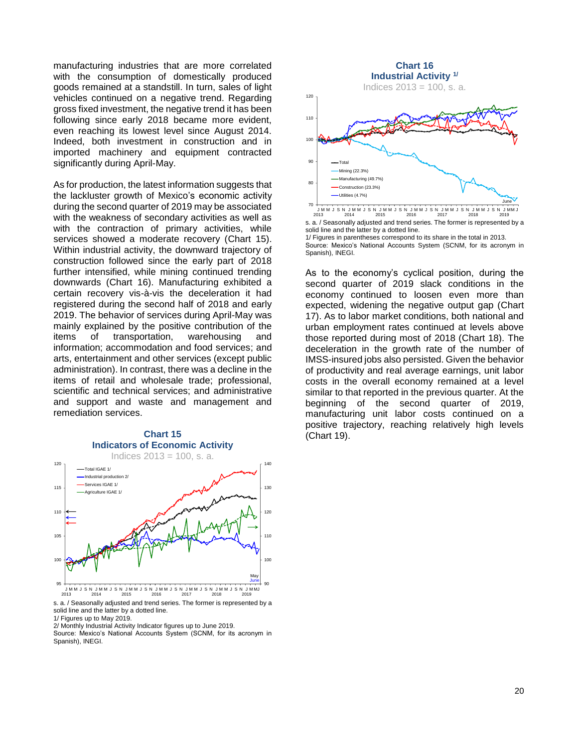manufacturing industries that are more correlated with the consumption of domestically produced goods remained at a standstill. In turn, sales of light vehicles continued on a negative trend. Regarding gross fixed investment, the negative trend it has been following since early 2018 became more evident, even reaching its lowest level since August 2014. Indeed, both investment in construction and in imported machinery and equipment contracted significantly during April-May.

As for production, the latest information suggests that the lackluster growth of Mexico's economic activity during the second quarter of 2019 may be associated with the weakness of secondary activities as well as with the contraction of primary activities, while services showed a moderate recovery [\(Chart 15\)](#page-20-0). Within industrial activity, the downward trajectory of construction followed since the early part of 2018 further intensified, while mining continued trending downwards [\(Chart 16\)](#page-20-1). Manufacturing exhibited a certain recovery vis-à-vis the deceleration it had registered during the second half of 2018 and early 2019. The behavior of services during April-May was mainly explained by the positive contribution of the items of transportation, warehousing and information; accommodation and food services; and arts, entertainment and other services (except public administration). In contrast, there was a decline in the items of retail and wholesale trade; professional, scientific and technical services; and administrative and support and waste and management and remediation services.

<span id="page-20-0"></span>

**Chart 15**

s. a. / Seasonally adjusted and trend series. The former is represented by a solid line and the latter by a dotted line.

1/ Figures up to May 2019.

2/ Monthly Industrial Activity Indicator figures up to June 2019. Source: Mexico's National Accounts System (SCNM, for its acronym in Spanish), INEGI.

<span id="page-20-1"></span>

s. a. / Seasonally adjusted and trend series. The former is represented by a solid line and the latter by a dotted line. 1/ Figures in parentheses correspond to its share in the total in 2013.

Source: Mexico's National Accounts System (SCNM, for its acronym in Spanish), INEGI.

As to the economy's cyclical position, during the second quarter of 2019 slack conditions in the economy continued to loosen even more than expected, widening the negative output gap [\(Chart](#page-21-0)  [17\)](#page-21-0). As to labor market conditions, both national and urban employment rates continued at levels above those reported during most of 2018 [\(Chart 18\)](#page-21-1). The deceleration in the growth rate of the number of IMSS-insured jobs also persisted. Given the behavior of productivity and real average earnings, unit labor costs in the overall economy remained at a level similar to that reported in the previous quarter. At the beginning of the second quarter of 2019, manufacturing unit labor costs continued on a positive trajectory, reaching relatively high levels [\(Chart 19\)](#page-21-2).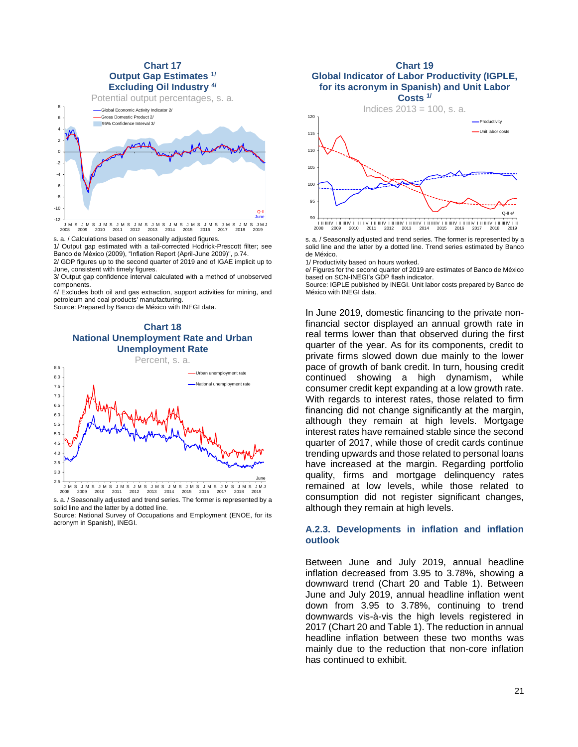<span id="page-21-0"></span>

-12 J M S J 2008 2009 J M S 2010 M S J 2011 M S J 2012 M S J 2013 M S J 2014 M S J 2015 M S J 2016 M S J 2017 M S J 2018 M S J 2019 M J

s. a. / Calculations based on seasonally adjusted figures.

1/ Output gap estimated with a tail-corrected Hodrick-Prescott filter; see Banco de México (2009), "Inflation Report (April-June 2009)", p.74. 2/ GDP figures up to the second quarter of 2019 and of IGAE implicit up to

June, consistent with timely figures. 3/ Output gap confidence interval calculated with a method of unobserved components.

4/ Excludes both oil and gas extraction, support activities for mining, and petroleum and coal products' manufacturing.

Source: Prepared by Banco de México with INEGI data.

<span id="page-21-1"></span>



s. a. / Seasonally adjusted and trend series. The former is represented by a solid line and the latter by a dotted line.

Source: National Survey of Occupations and Employment (ENOE, for its acronym in Spanish), INEGI.

#### <span id="page-21-2"></span>**Chart 19 Global Indicator of Labor Productivity (IGPLE, for its acronym in Spanish) and Unit Labor Costs 1/**



s. a. / Seasonally adjusted and trend series. The former is represented by a solid line and the latter by a dotted line. Trend series estimated by Banco de México.

1/ Productivity based on hours worked.

e/ Figures for the second quarter of 2019 are estimates of Banco de México based on SCN-INEGI's GDP flash indicator.

Source: IGPLE published by INEGI. Unit labor costs prepared by Banco de México with INEGI data.

In June 2019, domestic financing to the private nonfinancial sector displayed an annual growth rate in real terms lower than that observed during the first quarter of the year. As for its components, credit to private firms slowed down due mainly to the lower pace of growth of bank credit. In turn, housing credit continued showing a high dynamism, while consumer credit kept expanding at a low growth rate. With regards to interest rates, those related to firm financing did not change significantly at the margin, although they remain at high levels. Mortgage interest rates have remained stable since the second quarter of 2017, while those of credit cards continue trending upwards and those related to personal loans have increased at the margin. Regarding portfolio quality, firms and mortgage delinquency rates remained at low levels, while those related to consumption did not register significant changes, although they remain at high levels. May are solid to the second of the second to the second that the second contract the second contract of the second contract of the second contract the second contract the second contract the second contract the second cont

## **A.2.3. Developments in inflation and inflation outlook**

Between June and July 2019, annual headline inflation decreased from 3.95 to 3.78%, showing a downward trend [\(Chart 20](#page-22-0) and [Table 1\)](#page-23-0). Between June and July 2019, annual headline inflation went down from 3.95 to 3.78%, continuing to trend downwards vis-à-vis the high levels registered in 2017 [\(Chart 20](#page-22-0) and [Table 1\)](#page-23-0). The reduction in annual headline inflation between these two months was mainly due to the reduction that non-core inflation has continued to exhibit.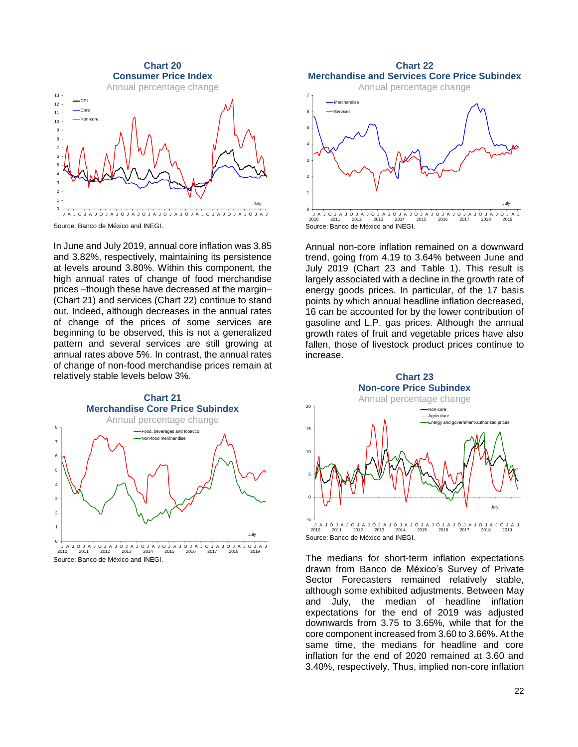<span id="page-22-0"></span>

Source: Banco de México and INEGI.

In June and July 2019, annual core inflation was 3.85 and 3.82%, respectively, maintaining its persistence at levels around 3.80%. Within this component, the high annual rates of change of food merchandise prices –though these have decreased at the margin– [\(Chart 21\)](#page-22-1) and services [\(Chart 22\)](#page-22-2) continue to stand out. Indeed, although decreases in the annual rates of change of the prices of some services are beginning to be observed, this is not a generalized pattern and several services are still growing at annual rates above 5%. In contrast, the annual rates of change of non-food merchandise prices remain at relatively stable levels below 3%.

<span id="page-22-1"></span>

Source: Banco de México and INEGI.

<span id="page-22-2"></span>**Chart 22 Merchandise and Services Core Price Subindex** Annual percentage change



Annual non-core inflation remained on a downward trend, going from 4.19 to 3.64% between June and July 2019 [\(Chart 23](#page-22-3) and [Table 1\)](#page-23-0). This result is largely associated with a decline in the growth rate of energy goods prices. In particular, of the 17 basis points by which annual headline inflation decreased, 16 can be accounted for by the lower contribution of gasoline and L.P. gas prices. Although the annual growth rates of fruit and vegetable prices have also fallen, those of livestock product prices continue to increase.

<span id="page-22-3"></span>

The medians for short-term inflation expectations drawn from Banco de México's Survey of Private Sector Forecasters remained relatively stable, although some exhibited adjustments. Between May and July, the median of headline inflation expectations for the end of 2019 was adjusted downwards from 3.75 to 3.65%, while that for the core component increased from 3.60 to 3.66%. At the same time, the medians for headline and core inflation for the end of 2020 remained at 3.60 and 3.40%, respectively. Thus, implied non-core inflation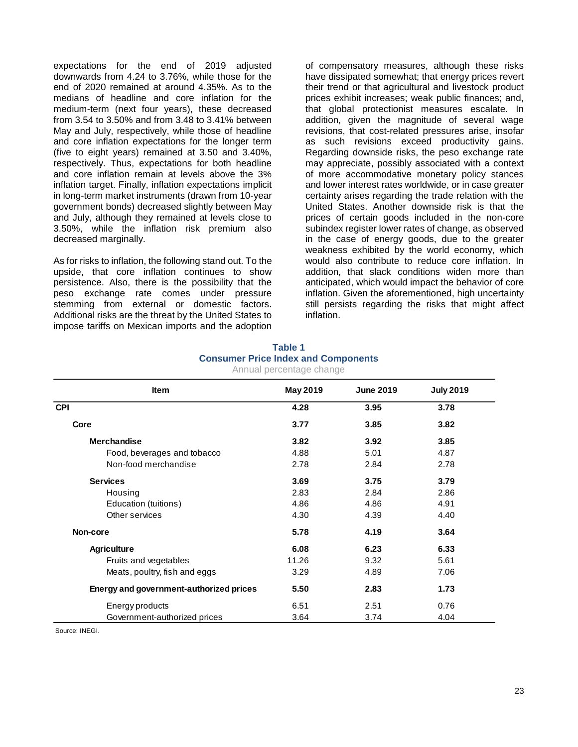expectations for the end of 2019 adjusted downwards from 4.24 to 3.76%, while those for the end of 2020 remained at around 4.35%. As to the medians of headline and core inflation for the medium-term (next four years), these decreased from 3.54 to 3.50% and from 3.48 to 3.41% between May and July, respectively, while those of headline and core inflation expectations for the longer term (five to eight years) remained at 3.50 and 3.40%, respectively. Thus, expectations for both headline and core inflation remain at levels above the 3% inflation target. Finally, inflation expectations implicit in long-term market instruments (drawn from 10-year government bonds) decreased slightly between May and July, although they remained at levels close to 3.50%, while the inflation risk premium also decreased marginally.

As for risks to inflation, the following stand out. To the upside, that core inflation continues to show persistence. Also, there is the possibility that the peso exchange rate comes under pressure stemming from external or domestic factors. Additional risks are the threat by the United States to impose tariffs on Mexican imports and the adoption

of compensatory measures, although these risks have dissipated somewhat; that energy prices revert their trend or that agricultural and livestock product prices exhibit increases; weak public finances; and, that global protectionist measures escalate. In addition, given the magnitude of several wage revisions, that cost-related pressures arise, insofar as such revisions exceed productivity gains. Regarding downside risks, the peso exchange rate may appreciate, possibly associated with a context of more accommodative monetary policy stances and lower interest rates worldwide, or in case greater certainty arises regarding the trade relation with the United States. Another downside risk is that the prices of certain goods included in the non-core subindex register lower rates of change, as observed in the case of energy goods, due to the greater weakness exhibited by the world economy, which would also contribute to reduce core inflation. In addition, that slack conditions widen more than anticipated, which would impact the behavior of core inflation. Given the aforementioned, high uncertainty still persists regarding the risks that might affect inflation.

<span id="page-23-0"></span>

| Item                                    | May 2019 | <b>June 2019</b> | <b>July 2019</b> |
|-----------------------------------------|----------|------------------|------------------|
| <b>CPI</b>                              | 4.28     | 3.95             | 3.78             |
| Core                                    | 3.77     | 3.85             | 3.82             |
| <b>Merchandise</b>                      | 3.82     | 3.92             | 3.85             |
| Food, beverages and tobacco             | 4.88     | 5.01             | 4.87             |
| Non-food merchandise                    | 2.78     | 2.84             | 2.78             |
| <b>Services</b>                         | 3.69     | 3.75             | 3.79             |
| Housing                                 | 2.83     | 2.84             | 2.86             |
| Education (tuitions)                    | 4.86     | 4.86             | 4.91             |
| Other services                          | 4.30     | 4.39             | 4.40             |
| Non-core                                | 5.78     | 4.19             | 3.64             |
| <b>Agriculture</b>                      | 6.08     | 6.23             | 6.33             |
| Fruits and vegetables                   | 11.26    | 9.32             | 5.61             |
| Meats, poultry, fish and eggs           | 3.29     | 4.89             | 7.06             |
| Energy and government-authorized prices | 5.50     | 2.83             | 1.73             |
| Energy products                         | 6.51     | 2.51             | 0.76             |
| Government-authorized prices            | 3.64     | 3.74             | 4.04             |

## **Table 1 Consumer Price Index and Components** Annual percentage change

Source: INEGI.